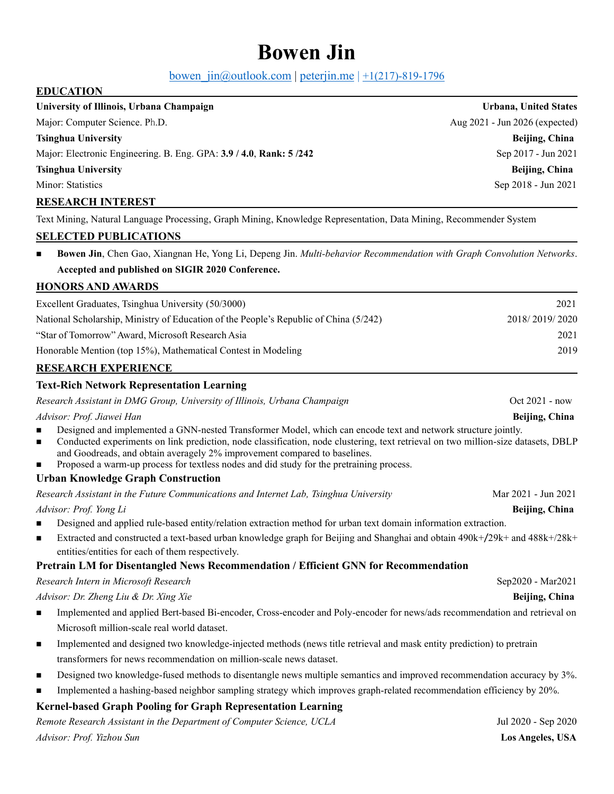# **Bowen Jin**

bowen  $jn(\omega)$ outlook.com | [peterjin.me](http://peterjin.me/) |  $\pm 1(217)$ -819-1796

# **EDUCATION University of Illinois, Urbana Champaign Urbana, United States** Major: Computer Science. Ph.D. Aug 2021 - Jun 2026 (expected) **Tsinghua University Beijing, China** Major: Electronic Engineering. B.Eng. GPA: **3.9 / 4.0**, **Rank: 5 /242** Sep 2017 - Jun 2021 **Tsinghua University Beijing, China** Minor: Statistics Sep 2018 - Jun 2021 **RESEARCH INTEREST**

Text Mining, Natural Language Processing, Graph Mining, Knowledge Representation, Data Mining, Recommender System

# **SELECTED PUBLICATIONS**

◼ **Bowen Jin**, Chen Gao, Xiangnan He, Yong Li, Depeng Jin. *Multi-behavior Recommendation with Graph Convolution Networks*. **Accepted and published on SIGIR 2020 Conference.**

#### **HONORS AND AWARDS**

| Excellent Graduates, Tsinghua University (50/3000)                                    | 2021           |
|---------------------------------------------------------------------------------------|----------------|
| National Scholarship, Ministry of Education of the People's Republic of China (5/242) | 2018/2019/2020 |
| "Star of Tomorrow" Award, Microsoft Research Asia                                     | 2021           |
| Honorable Mention (top 15%), Mathematical Contest in Modeling                         | 2019           |
| <b>RESEARCH EXPERIENCE</b>                                                            |                |

# **Text-Rich Network Representation Learning**

*Research Assistant in DMG Group, University of Illinois, Urbana Champaign* **Canally Contained Assistant in DMG Group, University of Illinois, Urbana Champaign Contained Assistant in DMG** Group, University of Illinois, U

*Advisor: Prof. Jiawei Han* **Beijing, China**

- Designed and implemented a GNN-nested Transformer Model, which can encode text and network structure jointly.
- ◼ Conducted experiments on link prediction, node classification, node clustering, text retrieval on two million-size datasets, DBLP and Goodreads, and obtain averagely 2% improvement compared to baselines.
- Proposed a warm-up process for textless nodes and did study for the pretraining process.

# **Urban Knowledge Graph Construction**

*Research Assistant in the Future Communications and Internet Lab, Tsinghua University* Mar 2021 - Jun 2021

*Advisor: Prof. Yong Li* **Beijing, China** 

- Designed and applied rule-based entity/relation extraction method for urban text domain information extraction.
- ◼ Extracted and constructed a text-based urban knowledge graph for Beijing and Shanghai and obtain 490k+/29k+ and 488k+/28k+ entities/entities for each of them respectively.

# **Pretrain LM for Disentangled News Recommendation / Efficient GNN for Recommendation**

*Research Intern in Microsoft Research* **Sep2020** - Mar2021

#### *Advisor: Dr. Zheng Liu & Dr. Xing Xie* **Beijing, China Beijing, China Beijing, China Beijing, China Beijing, China**

- Implemented and applied Bert-based Bi-encoder, Cross-encoder and Poly-encoder for news/ads recommendation and retrieval on Microsoft million-scale real world dataset.
- Implemented and designed two knowledge-injected methods (news title retrieval and mask entity prediction) to pretrain transformers for news recommendation on million-scale news dataset.
- Designed two knowledge-fused methods to disentangle news multiple semantics and improved recommendation accuracy by 3%.
- Implemented a hashing-based neighbor sampling strategy which improves graph-related recommendation efficiency by 20%.

# **Kernel-based Graph Pooling for Graph Representation Learning**

*Remote Research Assistant in the Department of Computer Science, UCLA* Jul 2020 - Sep 2020 *Advisor: Prof. Yizhou Sun* **Los Angeles, USA**